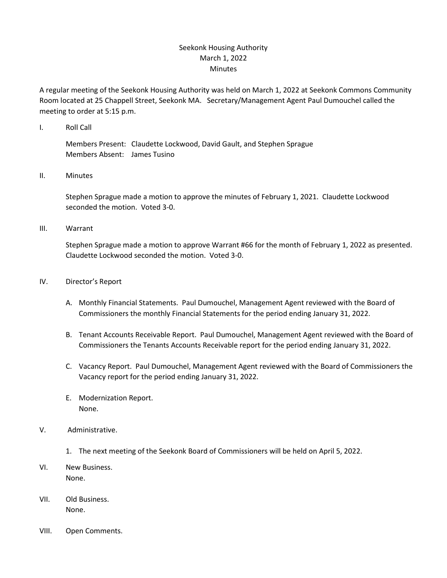## Seekonk Housing Authority March 1, 2022 Minutes

A regular meeting of the Seekonk Housing Authority was held on March 1, 2022 at Seekonk Commons Community Room located at 25 Chappell Street, Seekonk MA. Secretary/Management Agent Paul Dumouchel called the meeting to order at 5:15 p.m.

I. Roll Call

Members Present: Claudette Lockwood, David Gault, and Stephen Sprague Members Absent: James Tusino

## II. Minutes

Stephen Sprague made a motion to approve the minutes of February 1, 2021. Claudette Lockwood seconded the motion. Voted 3-0.

## III. Warrant

Stephen Sprague made a motion to approve Warrant #66 for the month of February 1, 2022 as presented. Claudette Lockwood seconded the motion. Voted 3-0.

- IV. Director's Report
	- A. Monthly Financial Statements. Paul Dumouchel, Management Agent reviewed with the Board of Commissioners the monthly Financial Statements for the period ending January 31, 2022.
	- B. Tenant Accounts Receivable Report. Paul Dumouchel, Management Agent reviewed with the Board of Commissioners the Tenants Accounts Receivable report for the period ending January 31, 2022.
	- C. Vacancy Report. Paul Dumouchel, Management Agent reviewed with the Board of Commissioners the Vacancy report for the period ending January 31, 2022.
	- E. Modernization Report. None.
- V. Administrative.
	- 1. The next meeting of the Seekonk Board of Commissioners will be held on April 5, 2022.
- VI. New Business. None.
- VII. Old Business. None.
- VIII. Open Comments.